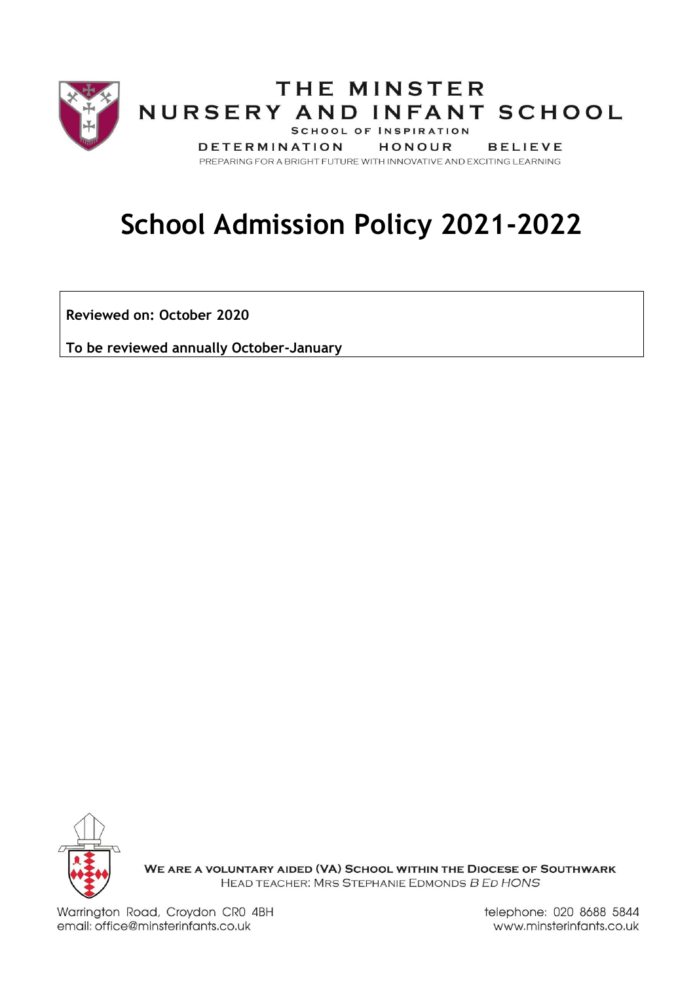

# **School Admission Policy 2021-2022**

**Reviewed on: October 2020**

**To be reviewed annually October-January**



WE ARE A VOLUNTARY AIDED (VA) SCHOOL WITHIN THE DIOCESE OF SOUTHWARK HEAD TEACHER: MRS STEPHANIE EDMONDS B ED HONS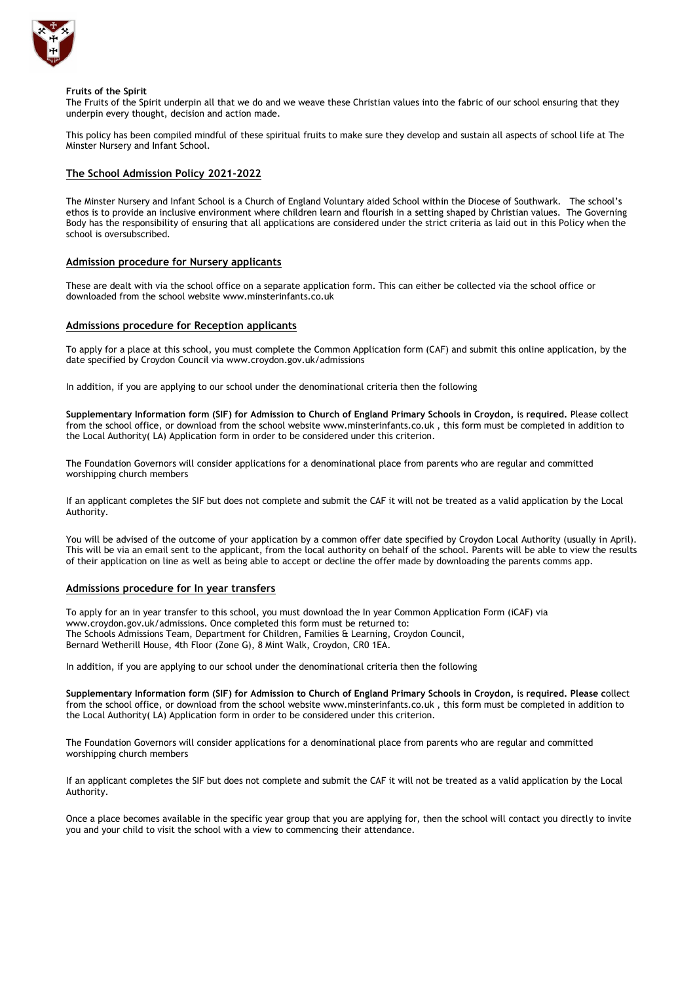

#### **Fruits of the Spirit**

The Fruits of the Spirit underpin all that we do and we weave these Christian values into the fabric of our school ensuring that they underpin every thought, decision and action made.

This policy has been compiled mindful of these spiritual fruits to make sure they develop and sustain all aspects of school life at The Minster Nursery and Infant School.

# **The School Admission Policy 2021-2022**

The Minster Nursery and Infant School is a Church of England Voluntary aided School within the Diocese of Southwark. The school's ethos is to provide an inclusive environment where children learn and flourish in a setting shaped by Christian values. The Governing Body has the responsibility of ensuring that all applications are considered under the strict criteria as laid out in this Policy when the school is oversubscribed.

# **Admission procedure for Nursery applicants**

These are dealt with via the school office on a separate application form. This can either be collected via the school office or downloaded from the school website www.minsterinfants.co.uk

## **Admissions procedure for Reception applicants**

To apply for a place at this school, you must complete the Common Application form (CAF) and submit this online application, by the date specified by Croydon Council via [www.croydon.gov.uk/admissions](http://www.croydon.gov.uk/admissions)

In addition, if you are applying to our school under the denominational criteria then the following

**Supplementary Information form (SIF) for Admission to Church of England Primary Schools in Croydon,** is **required.** Please **c**ollect from the school office, or download from the school website [www.m](http://www.parishchurchinfants.com/)insterinfants.co.uk , this form must be completed in addition to the Local Authority( LA) Application form in order to be considered under this criterion.

The Foundation Governors will consider applications for a denominational place from parents who are regular and committed worshipping church members

If an applicant completes the SIF but does not complete and submit the CAF it will not be treated as a valid application by the Local Authority.

You will be advised of the outcome of your application by a common offer date specified by Croydon Local Authority (usually in April). This will be via an email sent to the applicant, from the local authority on behalf of the school. Parents will be able to view the results of their application on line as well as being able to accept or decline the offer made by downloading the parents comms app.

## **Admissions procedure for In year transfers**

To apply for an in year transfer to this school, you must download the In year Common Application Form (iCAF) via [www.croydon.gov.uk/admissions.](http://www.croydon.gov.uk/admissions) Once completed this form must be returned to: The Schools Admissions Team, Department for Children, Families & Learning, Croydon Council, Bernard Wetherill House, 4th Floor (Zone G), 8 Mint Walk, Croydon, CR0 1EA.

In addition, if you are applying to our school under the denominational criteria then the following

**Supplementary Information form (SIF) for Admission to Church of England Primary Schools in Croydon,** is **required. Please c**ollect from the school office, or download from the school website [www.m](http://www.parishchurchinfants.com/)insterinfants.co.uk , this form must be completed in addition to the Local Authority( LA) Application form in order to be considered under this criterion.

The Foundation Governors will consider applications for a denominational place from parents who are regular and committed worshipping church members

If an applicant completes the SIF but does not complete and submit the CAF it will not be treated as a valid application by the Local Authority.

Once a place becomes available in the specific year group that you are applying for, then the school will contact you directly to invite you and your child to visit the school with a view to commencing their attendance.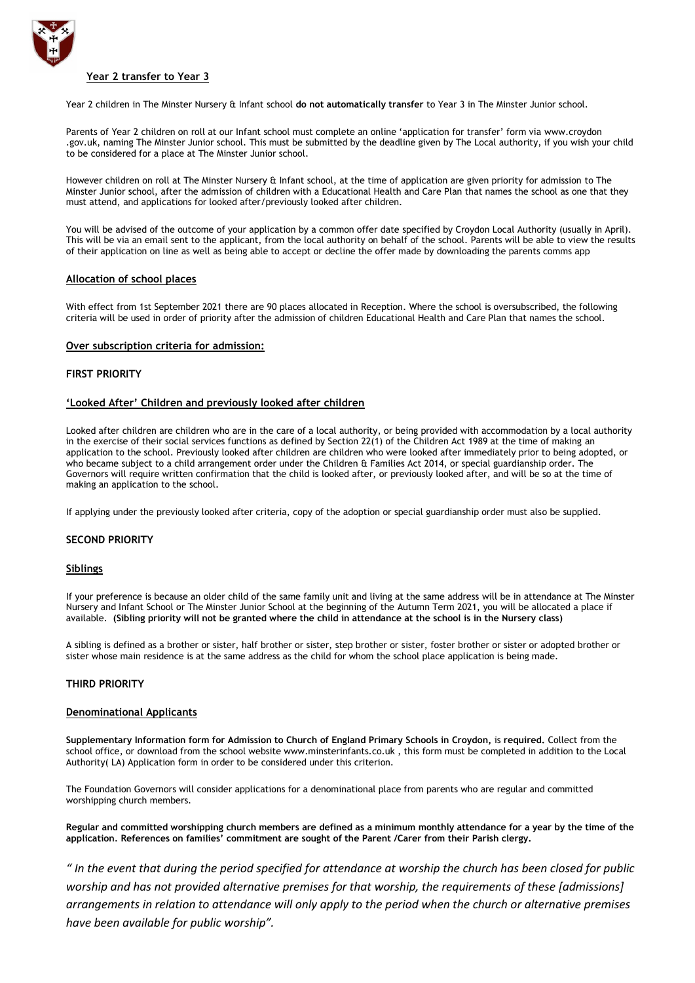

# **Year 2 transfer to Year 3**

Year 2 children in The Minster Nursery & Infant school **do not automatically transfer** to Year 3 in The Minster Junior school.

Parents of Year 2 children on roll at our Infant school must complete an online 'application for transfer' form via [www.croydon](http://www.croydon/) .gov.uk, naming The Minster Junior school. This must be submitted by the deadline given by The Local authority, if you wish your child to be considered for a place at The Minster Junior school.

However children on roll at The Minster Nursery & Infant school, at the time of application are given priority for admission to The Minster Junior school, after the admission of children with a Educational Health and Care Plan that names the school as one that they must attend, and applications for looked after/previously looked after children.

You will be advised of the outcome of your application by a common offer date specified by Croydon Local Authority (usually in April). This will be via an email sent to the applicant, from the local authority on behalf of the school. Parents will be able to view the results of their application on line as well as being able to accept or decline the offer made by downloading the parents comms app

# **Allocation of school places**

With effect from 1st September 2021 there are 90 places allocated in Reception. Where the school is oversubscribed, the following criteria will be used in order of priority after the admission of children Educational Health and Care Plan that names the school.

## **Over subscription criteria for admission:**

## **FIRST PRIORITY**

## **'Looked After' Children and previously looked after children**

Looked after children are children who are in the care of a local authority, or being provided with accommodation by a local authority in the exercise of their social services functions as defined by Section 22(1) of the Children Act 1989 at the time of making an application to the school. Previously looked after children are children who were looked after immediately prior to being adopted, or who became subject to a child arrangement order under the Children & Families Act 2014, or special guardianship order. The Governors will require written confirmation that the child is looked after, or previously looked after, and will be so at the time of making an application to the school.

If applying under the previously looked after criteria, copy of the adoption or special guardianship order must also be supplied.

## **SECOND PRIORITY**

## **Siblings**

If your preference is because an older child of the same family unit and living at the same address will be in attendance at The Minster Nursery and Infant School or The Minster Junior School at the beginning of the Autumn Term 2021, you will be allocated a place if available. **(Sibling priority will not be granted where the child in attendance at the school is in the Nursery class)**

A sibling is defined as a brother or sister, half brother or sister, step brother or sister, foster brother or sister or adopted brother or sister whose main residence is at the same address as the child for whom the school place application is being made.

# **THIRD PRIORITY**

## **Denominational Applicants**

**Supplementary Information form for Admission to Church of England Primary Schools in Croydon,** is **required.** Collect from the school office, or download from the school website [www.m](http://www.parishchurchinfants.com/)insterinfants.co.uk , this form must be completed in addition to the Local Authority( LA) Application form in order to be considered under this criterion.

The Foundation Governors will consider applications for a denominational place from parents who are regular and committed worshipping church members.

**Regular and committed worshipping church members are defined as a minimum monthly attendance for a year by the time of the application***.* **References on families' commitment are sought of the Parent /Carer from their Parish clergy.**

*" In the event that during the period specified for attendance at worship the church has been closed for public worship and has not provided alternative premises for that worship, the requirements of these [admissions] arrangements in relation to attendance will only apply to the period when the church or alternative premises have been available for public worship".*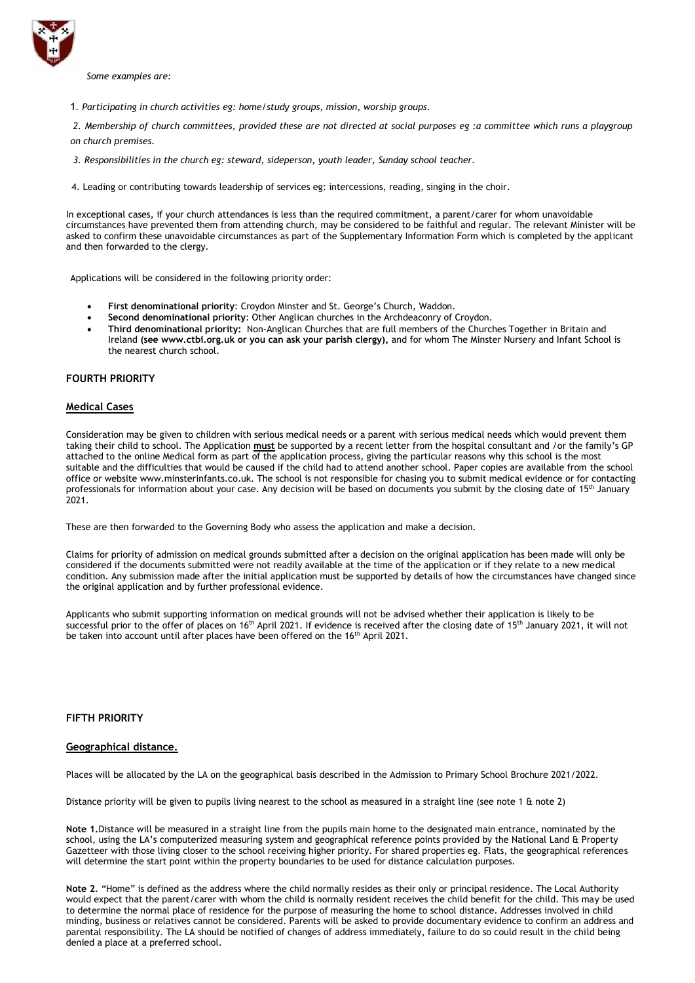

*Some examples are:*

1*. Participating in church activities eg: home/study groups, mission, worship groups.*

*2. Membership of church committees, provided these are not directed at social purposes eg :a committee which runs a playgroup on church premises.*

*3. Responsibilities in the church eg: steward, sideperson, youth leader, Sunday school teacher.*

4. Leading or contributing towards leadership of services eg: intercessions, reading, singing in the choir.

In exceptional cases, if your church attendances is less than the required commitment, a parent/carer for whom unavoidable circumstances have prevented them from attending church, may be considered to be faithful and regular. The relevant Minister will be asked to confirm these unavoidable circumstances as part of the Supplementary Information Form which is completed by the applicant and then forwarded to the clergy.

Applications will be considered in the following priority order:

- **First denominational priority**: Croydon Minster and St. George's Church, Waddon.
- **Second denominational priority**: Other Anglican churches in the Archdeaconry of Croydon.
- **Third denominational priority:** Non-Anglican Churches that are full members of the Churches Together in Britain and Ireland **(see [www.ctbi.org.uk](http://www.ctbi.org.uk/) or you can ask your parish clergy),** and for whom The Minster Nursery and Infant School is the nearest church school.

# **FOURTH PRIORITY**

# **Medical Cases**

Consideration may be given to children with serious medical needs or a parent with serious medical needs which would prevent them taking their child to school. The Application **must** be supported by a recent letter from the hospital consultant and /or the family's GP attached to the online Medical form as part of the application process, giving the particular reasons why this school is the most suitable and the difficulties that would be caused if the child had to attend another school. Paper copies are available from the school office or website www.minsterinfants.co.uk. The school is not responsible for chasing you to submit medical evidence or for contacting professionals for information about your case. Any decision will be based on documents you submit by the closing date of 15<sup>th</sup> January 2021.

These are then forwarded to the Governing Body who assess the application and make a decision.

Claims for priority of admission on medical grounds submitted after a decision on the original application has been made will only be considered if the documents submitted were not readily available at the time of the application or if they relate to a new medical condition. Any submission made after the initial application must be supported by details of how the circumstances have changed since the original application and by further professional evidence.

Applicants who submit supporting information on medical grounds will not be advised whether their application is likely to be successful prior to the offer of places on 16<sup>th</sup> April 2021. If evidence is received after the closing date of 15<sup>th</sup> January 2021, it will not be taken into account until after places have been offered on the 16<sup>th</sup> April 2021.

## **FIFTH PRIORITY**

#### **Geographical distance.**

Places will be allocated by the LA on the geographical basis described in the Admission to Primary School Brochure 2021/2022.

Distance priority will be given to pupils living nearest to the school as measured in a straight line (see note 1 & note 2)

**Note 1.**Distance will be measured in a straight line from the pupils main home to the designated main entrance, nominated by the school, using the LA's computerized measuring system and geographical reference points provided by the National Land & Property Gazetteer with those living closer to the school receiving higher priority. For shared properties eg. Flats, the geographical references will determine the start point within the property boundaries to be used for distance calculation purposes.

**Note 2**. "Home" is defined as the address where the child normally resides as their only or principal residence. The Local Authority would expect that the parent/carer with whom the child is normally resident receives the child benefit for the child. This may be used to determine the normal place of residence for the purpose of measuring the home to school distance. Addresses involved in child minding, business or relatives cannot be considered. Parents will be asked to provide documentary evidence to confirm an address and parental responsibility. The LA should be notified of changes of address immediately, failure to do so could result in the child being denied a place at a preferred school.